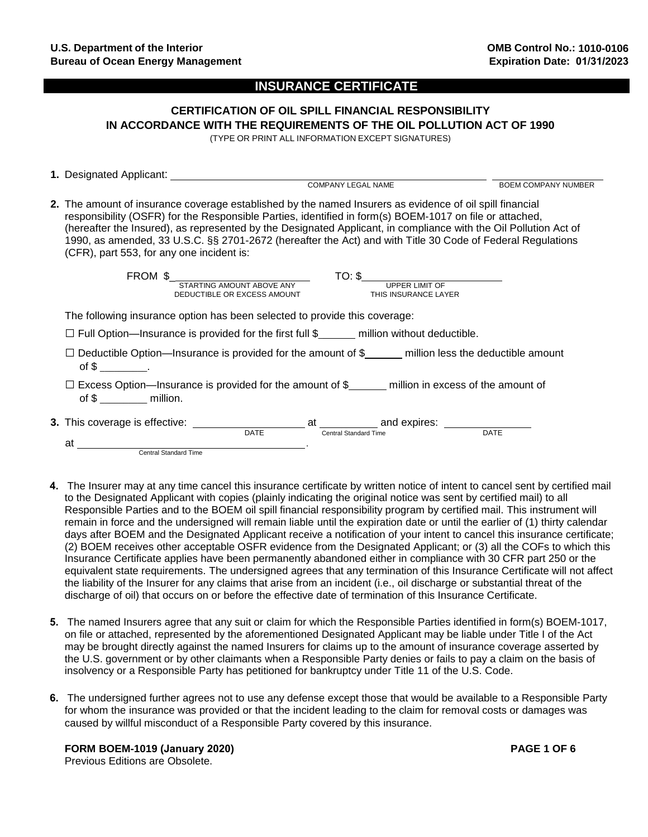**1.** Designated Applicant:

### **INSURANCE CERTIFICATE**

# **CERTIFICATION OF OIL SPILL FINANCIAL RESPONSIBILITY IN ACCORDANCE WITH THE REQUIREMENTS OF THE OIL POLLUTION ACT OF 1990**

(TYPE OR PRINT ALL INFORMATION EXCEPT SIGNATURES)

- COMPANY LEGAL NAME **Example 20 SOL SECONDEM BOEM COMPANY NUMBER 2.** The amount of insurance coverage established by the named Insurers as evidence of oil spill financial responsibility (OSFR) for the Responsible Parties, identified in form(s) BOEM-1017 on file or attached, (hereafter the Insured), as represented by the Designated Applicant, in compliance with the Oil Pollution Act of 1990, as amended, 33 U.S.C. §§ 2701-2672 (hereafter the Act) and with Title 30 Code of Federal Regulations (CFR), part 553, for any one incident is: FROM \$\_ TO: \$ STARTING AMOUNT ABOVE ANY UPPER LIMIT OF DEDUCTIBLE OR EXCESS AMOUNT THIS INSURANCE LAYER The following insurance option has been selected to provide this coverage:  $\square$  Full Option—Insurance is provided for the first full  $\S$  million without deductible.  $\Box$  Deductible Option—Insurance is provided for the amount of \$\_\_\_\_\_ million less the deductible amount of  $\frac{1}{2}$  \_\_\_\_\_\_\_\_\_\_.  $\square$  Excess Option—Insurance is provided for the amount of \$ million in excess of the amount of of \$ \_\_\_\_\_\_\_\_\_\_ million. **3.** This coverage is effective:  $\frac{1}{\sqrt{\frac{1}{1-\lambda}}}$ at <sub>Central Standard Time **and Standard Time** DATE</sub> at **.** Central Standard Time
- **4.** The Insurer may at any time cancel this insurance certificate by written notice of intent to cancel sent by certified mail to the Designated Applicant with copies (plainly indicating the original notice was sent by certified mail) to all Responsible Parties and to the BOEM oil spill financial responsibility program by certified mail. This instrument will remain in force and the undersigned will remain liable until the expiration date or until the earlier of (1) thirty calendar days after BOEM and the Designated Applicant receive a notification of your intent to cancel this insurance certificate; (2) BOEM receives other acceptable OSFR evidence from the Designated Applicant; or (3) all the COFs to which this Insurance Certificate applies have been permanently abandoned either in compliance with 30 CFR part 250 or the equivalent state requirements. The undersigned agrees that any termination of this Insurance Certificate will not affect the liability of the Insurer for any claims that arise from an incident (i.e., oil discharge or substantial threat of the discharge of oil) that occurs on or before the effective date of termination of this Insurance Certificate.
- **5.** The named Insurers agree that any suit or claim for which the Responsible Parties identified in form(s) BOEM-1017, on file or attached, represented by the aforementioned Designated Applicant may be liable under Title I of the Act may be brought directly against the named Insurers for claims up to the amount of insurance coverage asserted by the U.S. government or by other claimants when a Responsible Party denies or fails to pay a claim on the basis of insolvency or a Responsible Party has petitioned for bankruptcy under Title 11 of the U.S. Code.
- **6.** The undersigned further agrees not to use any defense except those that would be available to a Responsible Party for whom the insurance was provided or that the incident leading to the claim for removal costs or damages was caused by willful misconduct of a Responsible Party covered by this insurance.

**FORM BOEM-1019 (January 2020) PAGE 1 OF 6** Previous Editions are Obsolete.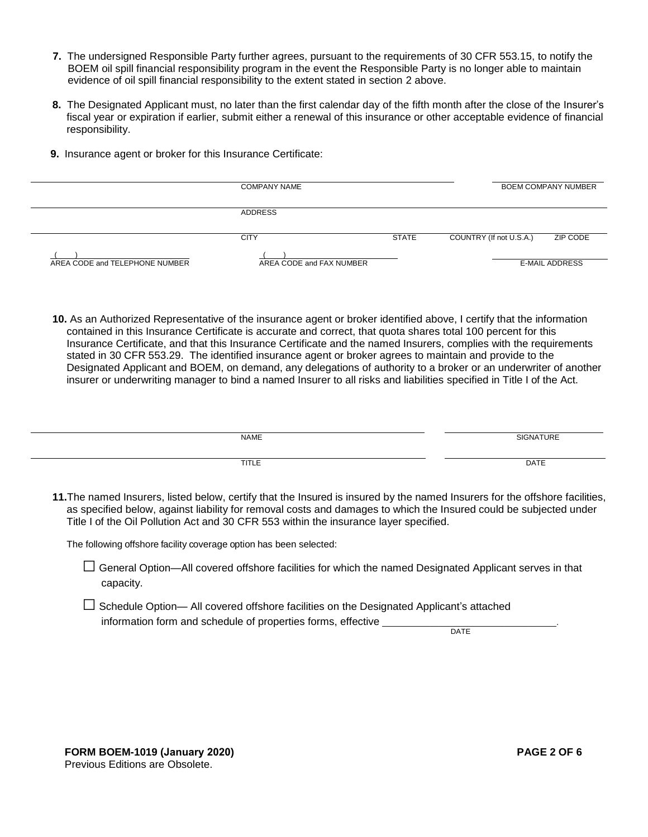- **7.** The undersigned Responsible Party further agrees, pursuant to the requirements of 30 CFR 553.15, to notify the BOEM oil spill financial responsibility program in the event the Responsible Party is no longer able to maintain evidence of oil spill financial responsibility to the extent stated in section 2 above.
- **8.** The Designated Applicant must, no later than the first calendar day of the fifth month after the close of the Insurer's fiscal year or expiration if earlier, submit either a renewal of this insurance or other acceptable evidence of financial responsibility.
- **9.** Insurance agent or broker for this Insurance Certificate:

|                                | <b>COMPANY NAME</b>      | <b>BOEM COMPANY NUMBER</b> |                                     |
|--------------------------------|--------------------------|----------------------------|-------------------------------------|
|                                | <b>ADDRESS</b>           |                            |                                     |
|                                | <b>CITY</b>              | STATE                      | ZIP CODE<br>COUNTRY (If not U.S.A.) |
| AREA CODE and TELEPHONE NUMBER | AREA CODE and FAX NUMBER |                            | <b>E-MAIL ADDRESS</b>               |

**10.** As an Authorized Representative of the insurance agent or broker identified above, I certify that the information contained in this Insurance Certificate is accurate and correct, that quota shares total 100 percent for this Insurance Certificate, and that this Insurance Certificate and the named Insurers, complies with the requirements stated in 30 CFR 553.29. The identified insurance agent or broker agrees to maintain and provide to the Designated Applicant and BOEM, on demand, any delegations of authority to a broker or an underwriter of another insurer or underwriting manager to bind a named Insurer to all risks and liabilities specified in Title I of the Act.

| <b>NAME</b> | SIGNATURE |
|-------------|-----------|
|             |           |
|             |           |
| TITLE       | DATE      |
|             |           |
|             |           |

**11.**The named Insurers, listed below, certify that the Insured is insured by the named Insurers for the offshore facilities, as specified below, against liability for removal costs and damages to which the Insured could be subjected under Title I of the Oil Pollution Act and 30 CFR 553 within the insurance layer specified.

The following offshore facility coverage option has been selected:

- □ General Option—All covered offshore facilities for which the named Designated Applicant serves in that capacity.
- $\Box$  Schedule Option— All covered offshore facilities on the Designated Applicant's attached information form and schedule of properties forms, effective

**DATE**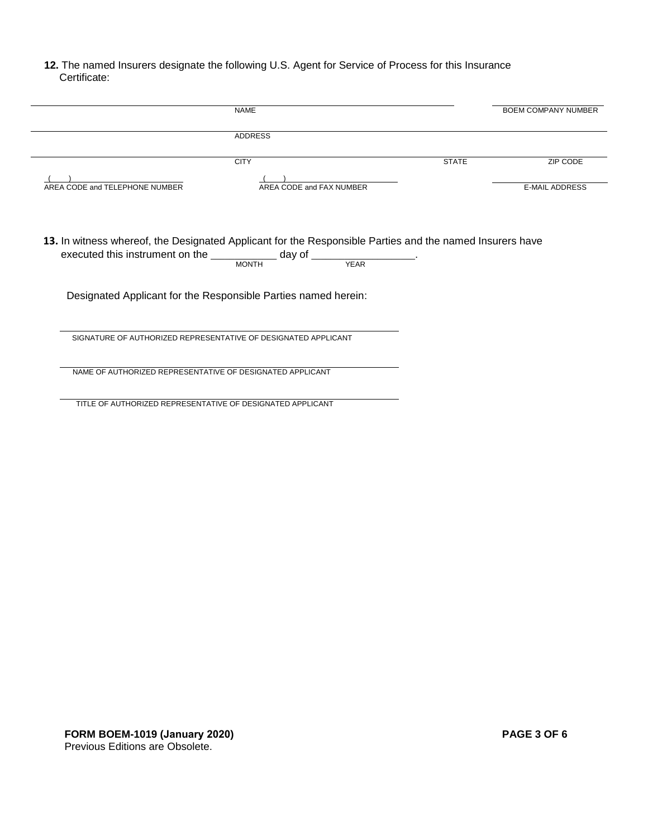### **12.** The named Insurers designate the following U.S. Agent for Service of Process for this Insurance Certificate:

|                                | <b>NAME</b>                                                                                                                                                                                             |              | <b>BOEM COMPANY NUMBER</b> |
|--------------------------------|---------------------------------------------------------------------------------------------------------------------------------------------------------------------------------------------------------|--------------|----------------------------|
|                                | <b>ADDRESS</b>                                                                                                                                                                                          |              |                            |
|                                | <b>CITY</b>                                                                                                                                                                                             | <b>STATE</b> | <b>ZIP CODE</b>            |
| AREA CODE and TELEPHONE NUMBER | AREA CODE and FAX NUMBER                                                                                                                                                                                |              | <b>E-MAIL ADDRESS</b>      |
|                                | 13. In witness whereof, the Designated Applicant for the Responsible Parties and the named Insurers have<br>executed this instrument on the ______________ day of ____________________.<br><b>MONTH</b> |              |                            |
|                                |                                                                                                                                                                                                         | <b>YEAR</b>  |                            |
|                                | Designated Applicant for the Responsible Parties named herein:                                                                                                                                          |              |                            |
|                                | SIGNATURE OF AUTHORIZED REPRESENTATIVE OF DESIGNATED APPLICANT                                                                                                                                          |              |                            |
|                                | NAME OF AUTHORIZED REPRESENTATIVE OF DESIGNATED APPLICANT                                                                                                                                               |              |                            |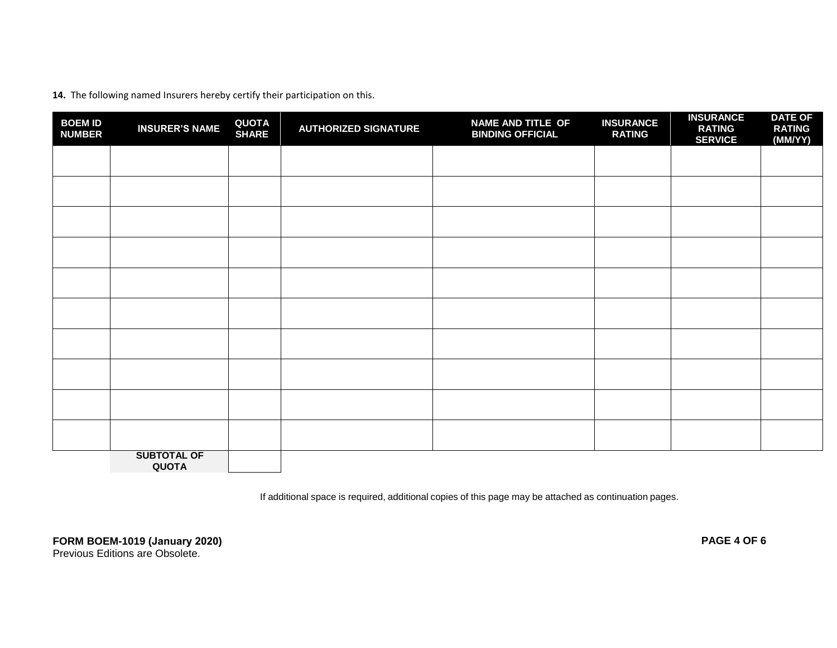**14.** The following named Insurers hereby certify their participation on this.

| <b>BOEM ID</b><br><b>NUMBER</b> | <b>INSURER'S NAME</b>              | <b>QUOTA</b><br><b>SHARE</b> | <b>AUTHORIZED SIGNATURE</b> | NAME AND TITLE OF<br><b>BINDING OFFICIAL</b> | <b>INSURANCE</b><br><b>RATING</b> | <b>INSURANCE</b><br><b>RATING</b><br><b>SERVICE</b> | <b>DATE OF</b><br><b>RATING</b><br>(MM/YY) |
|---------------------------------|------------------------------------|------------------------------|-----------------------------|----------------------------------------------|-----------------------------------|-----------------------------------------------------|--------------------------------------------|
|                                 |                                    |                              |                             |                                              |                                   |                                                     |                                            |
|                                 |                                    |                              |                             |                                              |                                   |                                                     |                                            |
|                                 |                                    |                              |                             |                                              |                                   |                                                     |                                            |
|                                 |                                    |                              |                             |                                              |                                   |                                                     |                                            |
|                                 |                                    |                              |                             |                                              |                                   |                                                     |                                            |
|                                 |                                    |                              |                             |                                              |                                   |                                                     |                                            |
|                                 |                                    |                              |                             |                                              |                                   |                                                     |                                            |
|                                 |                                    |                              |                             |                                              |                                   |                                                     |                                            |
|                                 |                                    |                              |                             |                                              |                                   |                                                     |                                            |
|                                 |                                    |                              |                             |                                              |                                   |                                                     |                                            |
|                                 | <b>SUBTOTAL OF</b><br><b>QUOTA</b> |                              |                             |                                              |                                   |                                                     |                                            |

If additional space is required, additional copies of this page may be attached as continuation pages.

**FORM BOEM-1019 (January 2020) PAGE 4 OF 6** 

Previous Editions are Obsolete.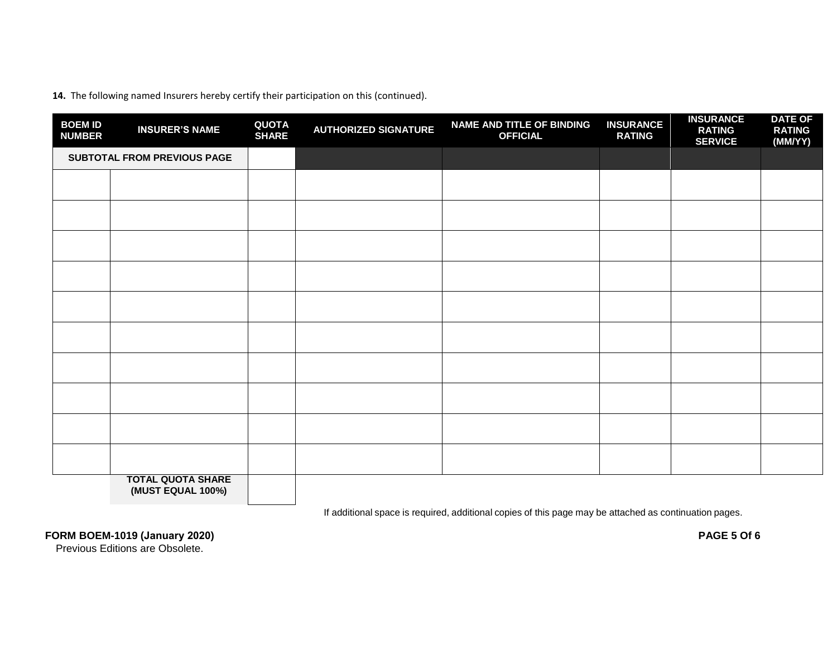**14.** The following named Insurers hereby certify their participation on this (continued).

| <b>BOEM ID</b><br><b>NUMBER</b> | <b>INSURER'S NAME</b>       | <b>QUOTA</b><br><b>SHARE</b> | <b>AUTHORIZED SIGNATURE</b> | NAME AND TITLE OF BINDING<br><b>OFFICIAL</b> | <b>INSURANCE</b><br><b>RATING</b> | <b>INSURANCE</b><br><b>RATING</b><br><b>SERVICE</b> | <b>DATE OF</b><br><b>RATING</b><br>(MM/YY) |
|---------------------------------|-----------------------------|------------------------------|-----------------------------|----------------------------------------------|-----------------------------------|-----------------------------------------------------|--------------------------------------------|
|                                 | SUBTOTAL FROM PREVIOUS PAGE |                              |                             |                                              |                                   |                                                     |                                            |
|                                 |                             |                              |                             |                                              |                                   |                                                     |                                            |
|                                 |                             |                              |                             |                                              |                                   |                                                     |                                            |
|                                 |                             |                              |                             |                                              |                                   |                                                     |                                            |
|                                 |                             |                              |                             |                                              |                                   |                                                     |                                            |
|                                 |                             |                              |                             |                                              |                                   |                                                     |                                            |
|                                 |                             |                              |                             |                                              |                                   |                                                     |                                            |
|                                 |                             |                              |                             |                                              |                                   |                                                     |                                            |
|                                 |                             |                              |                             |                                              |                                   |                                                     |                                            |
|                                 |                             |                              |                             |                                              |                                   |                                                     |                                            |
|                                 |                             |                              |                             |                                              |                                   |                                                     |                                            |
|                                 | <b>TOTAL QUOTA SHARE</b>    |                              |                             |                                              |                                   |                                                     |                                            |

**(MUST EQUAL 100%)**

If additional space is required, additional copies of this page may be attached as continuation pages.

**FORM BOEM-1019 (January 2020) PAGE 5 Of 6** 

Previous Editions are Obsolete.